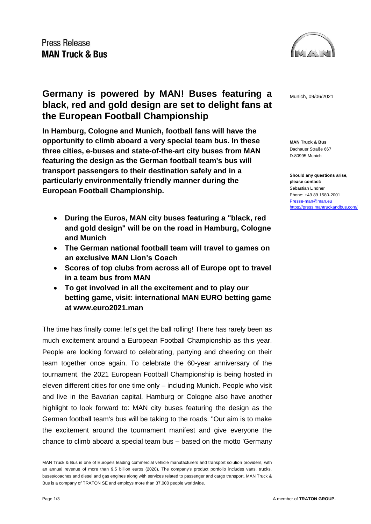

**MAN Truck & Bus** Dachauer Straße 667 D-80995 Munich

**Should any questions arise, please contact:** Sebastian Lindner Phone: +49 89 1580-2001 [Presse-man@man.eu](mailto:Presse-man@man.eu) <https://press.mantruckandbus.com/>

### **Germany is powered by MAN! Buses featuring a** Munich, 09/06/2021 **black, red and gold design are set to delight fans at the European Football Championship**

**In Hamburg, Cologne and Munich, football fans will have the opportunity to climb aboard a very special team bus. In these three cities, e-buses and state-of-the-art city buses from MAN featuring the design as the German football team's bus will transport passengers to their destination safely and in a particularly environmentally friendly manner during the European Football Championship.**

- **During the Euros, MAN city buses featuring a "black, red and gold design" will be on the road in Hamburg, Cologne and Munich**
- **The German national football team will travel to games on an exclusive MAN Lion's Coach**
- **Scores of top clubs from across all of Europe opt to travel in a team bus from MAN**
- **To get involved in all the excitement and to play our betting game, visit: international MAN EURO betting game at www.euro2021.man**

The time has finally come: let's get the ball rolling! There has rarely been as much excitement around a European Football Championship as this year. People are looking forward to celebrating, partying and cheering on their team together once again. To celebrate the 60-year anniversary of the tournament, the 2021 European Football Championship is being hosted in eleven different cities for one time only – including Munich. People who visit and live in the Bavarian capital, Hamburg or Cologne also have another highlight to look forward to: MAN city buses featuring the design as the German football team's bus will be taking to the roads. "Our aim is to make the excitement around the tournament manifest and give everyone the chance to climb aboard a special team bus – based on the motto 'Germany

MAN Truck & Bus is one of Europe's leading commercial vehicle manufacturers and transport solution providers, with an annual revenue of more than 9,5 billion euros (2020). The company's product portfolio includes vans, trucks, buses/coaches and diesel and gas engines along with services related to passenger and cargo transport. MAN Truck & Bus is a company of TRATON SE and employs more than 37,000 people worldwide.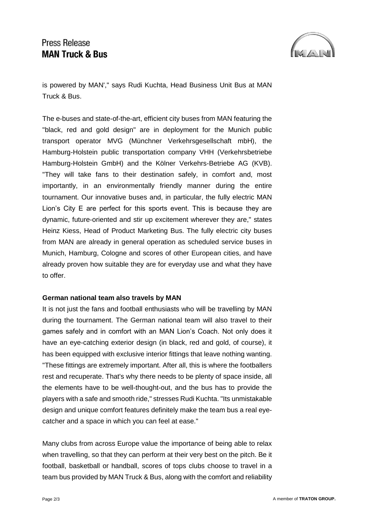# Press Release **MAN Truck & Bus**



is powered by MAN'," says Rudi Kuchta, Head Business Unit Bus at MAN Truck & Bus.

The e-buses and state-of-the-art, efficient city buses from MAN featuring the "black, red and gold design" are in deployment for the Munich public transport operator MVG (Münchner Verkehrsgesellschaft mbH), the Hamburg-Holstein public transportation company VHH (Verkehrsbetriebe Hamburg-Holstein GmbH) and the Kölner Verkehrs-Betriebe AG (KVB). "They will take fans to their destination safely, in comfort and, most importantly, in an environmentally friendly manner during the entire tournament. Our innovative buses and, in particular, the fully electric MAN Lion's City E are perfect for this sports event. This is because they are dynamic, future-oriented and stir up excitement wherever they are," states Heinz Kiess, Head of Product Marketing Bus. The fully electric city buses from MAN are already in general operation as scheduled service buses in Munich, Hamburg, Cologne and scores of other European cities, and have already proven how suitable they are for everyday use and what they have to offer.

#### **German national team also travels by MAN**

It is not just the fans and football enthusiasts who will be travelling by MAN during the tournament. The German national team will also travel to their games safely and in comfort with an MAN Lion's Coach. Not only does it have an eye-catching exterior design (in black, red and gold, of course), it has been equipped with exclusive interior fittings that leave nothing wanting. "These fittings are extremely important. After all, this is where the footballers rest and recuperate. That's why there needs to be plenty of space inside, all the elements have to be well-thought-out, and the bus has to provide the players with a safe and smooth ride," stresses Rudi Kuchta. "Its unmistakable design and unique comfort features definitely make the team bus a real eyecatcher and a space in which you can feel at ease."

Many clubs from across Europe value the importance of being able to relax when travelling, so that they can perform at their very best on the pitch. Be it football, basketball or handball, scores of tops clubs choose to travel in a team bus provided by MAN Truck & Bus, along with the comfort and reliability